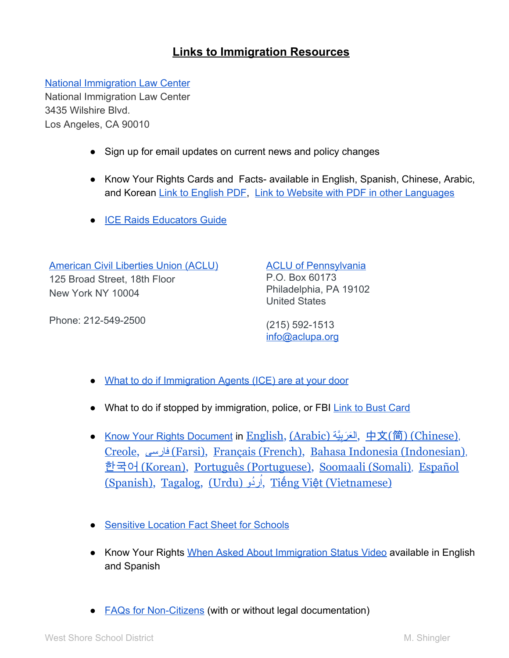## **Links to Immigration Resources**

[National Immigration Law Center](https://www.nilc.org/) National Immigration Law Center 3435 Wilshire Blvd. Los Angeles, CA 90010

- Sign up for email updates on current news and policy changes
- Know Your Rights Cards and Facts- available in English, Spanish, Chinese, Arabic, and Korean [Link to English PDF,](https://www.nilc.org/wp-content/uploads/2016/11/Rights-No-Matter-Who-Is-Pres-2016-11-10.pdf) [Link to Website with PDF in other Languages](https://www.nilc.org/issues/immigration-enforcement/everyone-has-certain-basic-rights/)
- [ICE Raids Educators Guide](https://nilc.org/wp-content//uploads/2016/06/ICE-Raids-Educators-Guide-2016-06.pdf)

[American Civil Liberties Union \(ACLU\)](https://www.aclu.org/) 125 Broad Street, 18th Floor New York NY 10004

Phone: 212-549-2500

[ACLU of Pennsylvania](http://www.aclupa.org/) P.O. Box 60173 Philadelphia, PA 19102 United States

(215) 592-1513 [info@aclupa.org](mailto:info@aclupa.org)

- [What to do if Immigration Agents \(ICE\) are at your door](https://www.aclu.org/know-your-rights/what-do-if-immigration-agents-ice-are-your-door)
- What to do if stopped by immigration, police, or FBI [Link to Bust Card](https://www.aclu.org/files/assets/bustcard_eng_20100630.pdf)
- [Know Your Rights Document](https://www.aclu.org/feature/know-your-rights-discrimination-against-immigrants-and-muslims?redirect=feature/know-your-rights-immigration#immigration) in <u>[English,](https://www.aclu.org/files/kyr/MKG17-KYR-PoliceImmigrationFBI-OnePager-English-v01.pdf) [\(Arabic\)](https://www.aclu.org/files/kyr/MKG17-KYR-PoliceImmigrationFBI-OnePager-Arabic-v01.pdf) تَعْرَبِيَّة, 中文(简[\) \(Chinese\)](https://www.aclu.org/files/kyr/MKG17-KYR-PoliceImmigrationFBI-OnePager-Chinese-v01.pdf),</u> [Creole,](https://www.aclu.org/files/kyr/MKG17-KYR-Police-Immigration-FBI-OnePager-HCreole-v01.pdf) [فارسی](https://www.aclu.org/files/kyr/MKG17-KYR-PoliceImmigrationFBI-OnePager-Farsi-v01.pdf)[\) Farsi\),](https://www.aclu.org/files/kyr/MKG17-KYR-PoliceImmigrationFBI-OnePager-Farsi-v01.pdf) [Français \(French\),](https://www.aclu.org/files/kyr/MKG17-KYR-PoliceImmigrationFBI-OnePager-French-v01.pdf) [Bahasa Indonesia \(Indonesian\)](https://www.aclu.org/files/kyr/MKG17-KYR-PoliceImmigrationFBI-OnePager-Indonesian-v01.pdf), 한국어 [\(Korean\),](https://www.aclu.org/files/kyr/MKG17-KYR-PoliceImmigrationFBI-OnePager-Korean-v01.pdf) [Português \(Portuguese\),](https://www.aclu.org/files/kyr/MKG17-KYR-Police-Immigration-FBI-OnePager-Portuguese-v01.pdf) [Soomaali \(Somali\)](https://www.aclu.org/files/kyr/MKG17-KYR-PoliceImmigrationFBI-OnePager-Somali-v01.pdf), [Español](https://www.aclu.org/files/kyr/MKG17-KYR-PoliceImmigrationFBI-OnePager-Spanish-v01.pdf) [\(Spanish\),](https://www.aclu.org/files/kyr/MKG17-KYR-PoliceImmigrationFBI-OnePager-Spanish-v01.pdf) [Tagalog,](https://www.aclu.org/files/kyr/MKG17-KYR-Police-Immigration-FBI-OnePager-Tagalog-v01.pdf) [\(Urdu\)](https://www.aclu.org/files/kyr/MKG17-KYR-PoliceImmigrationFBI-OnePager-Urdu-v01.pdf) رُدِيُو)[,](https://www.aclu.org/files/kyr/MKG17-KYR-PoliceImmigrationFBI-OnePager-Urdu-v01.pdf) Tiếng Việ[t \(Vietnamese\)](https://www.aclu.org/files/kyr/MKG17-KYR-PoliceImmigrationFBI-OnePager-Vietnamese-v01.pdf)
- [Sensitive Location Fact Sheet for Schools](https://www2.ed.gov/about/overview/focus/safe-spaces-fact-sheet.pdf)
- Know Your Rights [When Asked About Immigration Status Video](https://www.aclu.org/know-your-rights/what-do-if-questioned-about-your-immigration-status) available in English and Spanish
- [FAQs for Non-Citizens](https://www.aclu.org/know-your-rights/what-do-when-encountering-law-enforcement-additional-information-non-citizens) (with or without legal documentation)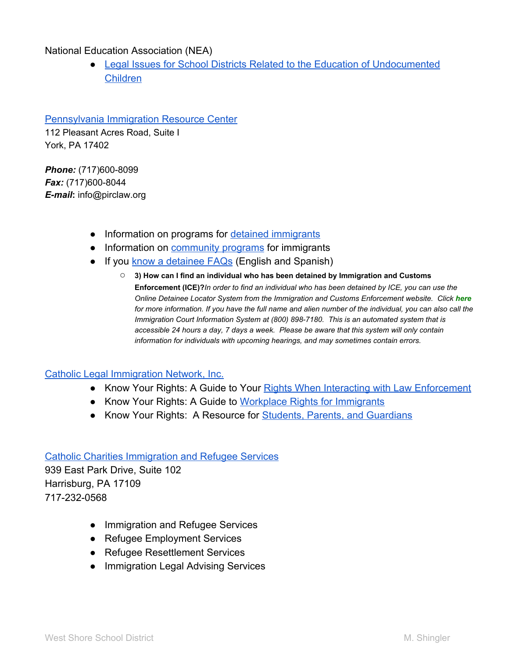National Education Association (NEA)

● [Legal Issues for School Districts Related to the Education of Undocumented](http://www.nea.org/assets/docs/HE/09undocumentedchildren.pdf) [Children](http://www.nea.org/assets/docs/HE/09undocumentedchildren.pdf)

[Pennsylvania Immigration Resource Center](http://www.pirclaw.org/index.php)

112 Pleasant Acres Road, Suite I York, PA 17402

*Phone:* (717)600-8099 *Fax:* (717)600-8044 *E-mail***:** info@pirclaw.org

- Information on programs for [detained immigrants](http://www.pirclaw.org/programs/detained_programs)
- Information on **community programs** for immigrants
- If you [know a detainee FAQs](http://www.pirclaw.org/resources/if_you_know_a_detainee) (English and Spanish)
	- **3) How can I find an individual who has been detained by Immigration and Customs Enforcement (ICE)?***In order to find an individual who has been detained by ICE, you can use the Online Detainee Locator System from the Immigration and Customs Enforcement website. Click [here](https://locator.ice.gov/odls/searchByName.do) for more information. If you have the full name and alien number of the individual, you can also call the Immigration Court Information System at (800) 898-7180. This is an automated system that is accessible 24 hours a day, 7 days a week. Please be aware that this system will only contain information for individuals with upcoming hearings, and may sometimes contain errors.*

## [Catholic Legal Immigration Network, Inc.](https://cliniclegal.org/immigration-policy/changes)

- Know Your Rights: A Guide to Your [Rights When Interacting with Law Enforcement](https://cliniclegal.org/resources/know-your-rights-law-enforcement)
- Know Your Rights: A Guide to [Workplace Rights for Immigrants](https://cliniclegal.org/resources/know-your-rights-workers)
- Know Your Rights: A Resource for **Students, Parents, and Guardians**

[Catholic Charities Immigration and Refugee Services](http://www.cchbg.org/get-help/immigration-refugee-services/) 939 East Park Drive, Suite 102 Harrisburg, PA 17109 717-232-0568

- Immigration and Refugee Services
- Refugee Employment Services
- Refugee Resettlement Services
- Immigration Legal Advising Services